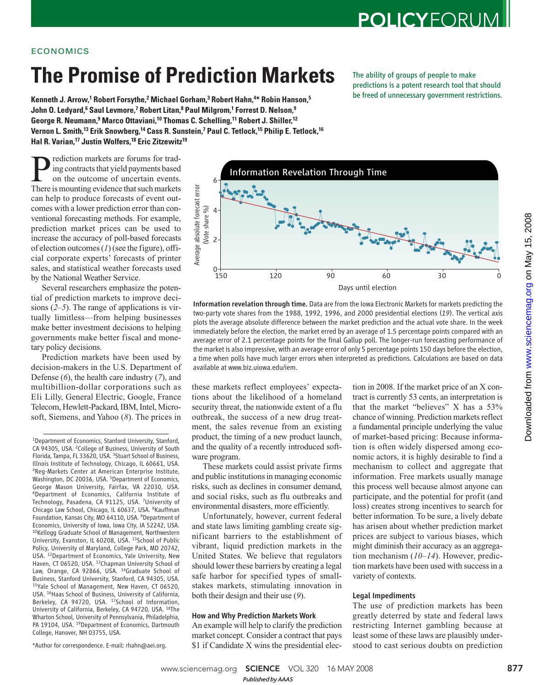The ability of groups of people to make predictions is a potent research tool that should

# **ECONOMICS**

# **The Promise of Prediction Markets**

be freed of unnecessary government restrictions. **Kenneth J. Arrow,<sup>1</sup> Robert Forsythe,<sup>2</sup> Michael Gorham,<sup>3</sup> Robert Hahn,<sup>4</sup>\* Robin Hanson,<sup>5</sup> John O. Ledyard,<sup>6</sup> Saul Levmore,<sup>7</sup> Robert Litan,<sup>8</sup> Paul Milgrom,<sup>1</sup> Forrest D. Nelson,<sup>9</sup> George R. Neumann,<sup>9</sup> Marco Ottaviani,<sup>10</sup> Thomas C. Schelling,<sup>11</sup> Robert J. Shiller,<sup>12</sup> Vernon L. Smith,<sup>13</sup> Erik Snowberg,<sup>14</sup> Cass R. Sunstein,<sup>7</sup> Paul C. Tetlock,<sup>15</sup> Philip E. Tetlock,<sup>16</sup> Hal R. Varian,<sup>17</sup> Justin Wolfers,<sup>18</sup> Eric Zitzewitz<sup>19</sup>**

**P** rediction markets are forums for trading contracts that yield payments based<br>on the outcome of uncertain events.<br>There is mounting evidence that such markets rediction markets are forums for trading contracts that yield payments based on the outcome of uncertain events. can help to produce forecasts of event outcomes with a lower prediction error than conventional forecasting methods. For example, prediction market prices can be used to increase the accuracy of poll-based forecasts of election outcomes (*1*) (see the figure), official corporate experts' forecasts of printer sales, and statistical weather forecasts used by the National Weather Service.

Several researchers emphasize the potential of prediction markets to improve decisions (*2*–*5*). The range of applications is virtually limitless—from helping businesses make better investment decisions to helping governments make better fiscal and monetary policy decisions.

Prediction markets have been used by decision-makers in the U.S. Department of Defense (*6*), the health care industry (*7*), and multibillion-dollar corporations such as Eli Lilly, General Electric, Google, France Telecom, Hewlett-Packard, IBM, Intel, Microsoft, Siemens, and Yahoo (*8*). The prices in

Information Revelation Through Time 6 Average absolute forecast error Average absolute forecast error (Vote share %) (Vote share %) 4 2  $0 +$ <br>150 150 120 90 60 30 0 Days until election

Information revelation through time. Data are from the Iowa Electronic Markets for markets predicting the two-party vote shares from the 1988, 1992, 1996, and 2000 presidential elections (*19*). The vertical axis plots the average absolute difference between the market prediction and the actual vote share. In the week immediately before the election, the market erred by an average of 1.5 percentage points compared with an average error of 2.1 percentage points for the final Gallup poll. The longer-run forecasting performance of the market is also impressive, with an average error of only 5 percentage points 150 days before the election, a time when polls have much larger errors when interpreted as predictions. Calculations are based on data available at www.biz.uiowa.edu/iem.

these markets reflect employees' expectations about the likelihood of a homeland security threat, the nationwide extent of a flu outbreak, the success of a new drug treatment, the sales revenue from an existing product, the timing of a new product launch, and the quality of a recently introduced software program.

These markets could assist private firms and public institutions in managing economic risks, such as declines in consumer demand, and social risks, such as flu outbreaks and environmental disasters, more efficiently.

Unfortunately, however, current federal and state laws limiting gambling create significant barriers to the establishment of vibrant, liquid prediction markets in the United States. We believe that regulators should lower these barriers by creating a legal safe harbor for specified types of smallstakes markets, stimulating innovation in both their design and their use (*9*).

# How and Why Prediction Markets Work

An example will help to clarify the prediction market concept. Consider a contract that pays \$1 if Candidate X wins the presidential election in 2008. If the market price of an X contract is currently 53 cents, an interpretation is that the market "believes" X has a 53% chance of winning. Prediction markets reflect a fundamental principle underlying the value of market-based pricing: Because information is often widely dispersed among economic actors, it is highly desirable to find a mechanism to collect and aggregate that information. Free markets usually manage this process well because almost anyone can participate, and the potential for profit (and loss) creates strong incentives to search for better information. To be sure, a lively debate has arisen about whether prediction market prices are subject to various biases, which might diminish their accuracy as an aggregation mechanism (*10*–*14*). However, prediction markets have been used with success in a variety of contexts.

## Legal Impediments

The use of prediction markets has been greatly deterred by state and federal laws restricting Internet gambling because at least some of these laws are plausibly understood to cast serious doubts on prediction



www.sciencemag.orgon May 15, 2008

Downloaded from www.sciencemag.org on May 15, 2008

Downloaded from

<sup>1</sup>Department of Economics, Stanford University, Stanford, CA 94305, USA. <sup>2</sup>College of Business, University of South Florida, Tampa, FL 33620, USA. <sup>3</sup>Stuart School of Business, Illnois Institute of Technology, Chicago, IL 60661, USA. <sup>4</sup>Reg-Markets Center at American Enterprise Institute, Washington, DC 20036, USA. <sup>5</sup>Department of Economics, George Mason University, Fairfax, VA 22030, USA. <sup>6</sup>Department of Economics, California Institute of Technology, Pasadena, CA 91125, USA. <sup>7</sup>University of Chicago Law School, Chicago, IL 60637, USA. <sup>8</sup>Kauffman Foundation, Kansas City, MO 64110, USA. <sup>9</sup>Department of Economics, University of Iowa, Iowa City, IA 52242, USA. <sup>10</sup>Kellogg Graduate School of Management, Northwestern University, Evanston, IL 60208, USA. <sup>11</sup>School of Public Policy, University of Maryland, College Park, MD 20742, USA. <sup>12</sup>Department of Economics, Yale University, New Haven, CT 06520, USA. <sup>13</sup>Chapman University School of Law, Orange, CA 92866, USA. <sup>14</sup>Graduate School of Business, Stanford University, Stanford, CA 94305, USA. <sup>15</sup>Yale School of Management, New Haven, CT 06520, USA. <sup>16</sup>Haas School of Business, University of California, Berkeley, CA 94720, USA. <sup>17</sup>School of Information, University of California, Berkeley, CA 94720, USA. <sup>18</sup>The Wharton School, University of Pennsylvania, Philadelphia, PA 19104, USA. <sup>19</sup>Department of Economics, Dartmouth College, Hanover, NH 03755, USA.